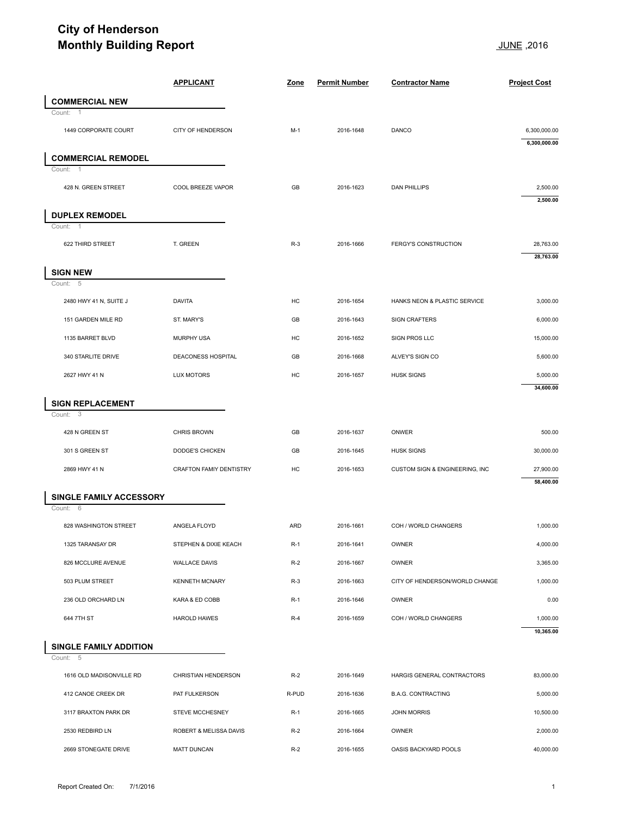## **City of Henderson Monthly Building Report Monthly Building Report**

| <b>Monthly Building Report</b>          |                         |       |                      | 2016, <u>JUNE</u>              |                              |  |
|-----------------------------------------|-------------------------|-------|----------------------|--------------------------------|------------------------------|--|
|                                         | <b>APPLICANT</b>        | Zone  | <b>Permit Number</b> | <b>Contractor Name</b>         | <b>Project Cost</b>          |  |
| <b>COMMERCIAL NEW</b>                   |                         |       |                      |                                |                              |  |
| Count:<br>-1<br>1449 CORPORATE COURT    | CITY OF HENDERSON       | $M-1$ | 2016-1648            | <b>DANCO</b>                   | 6,300,000.00<br>6,300,000.00 |  |
| <b>COMMERCIAL REMODEL</b>               |                         |       |                      |                                |                              |  |
| Count:<br>-1                            |                         |       |                      |                                |                              |  |
| 428 N. GREEN STREET                     | COOL BREEZE VAPOR       | GB    | 2016-1623            | <b>DAN PHILLIPS</b>            | 2,500.00<br>2,500.00         |  |
| <b>DUPLEX REMODEL</b>                   |                         |       |                      |                                |                              |  |
| Count:<br>$\overline{1}$                |                         |       |                      |                                |                              |  |
| 622 THIRD STREET                        | T. GREEN                | $R-3$ | 2016-1666            | <b>FERGY'S CONSTRUCTION</b>    | 28,763.00<br>28,763.00       |  |
| <b>SIGN NEW</b>                         |                         |       |                      |                                |                              |  |
| Count: 5<br>2480 HWY 41 N, SUITE J      | <b>DAVITA</b>           | HC    | 2016-1654            | HANKS NEON & PLASTIC SERVICE   | 3,000.00                     |  |
| 151 GARDEN MILE RD                      | ST. MARY'S              | GB    | 2016-1643            | <b>SIGN CRAFTERS</b>           | 6,000.00                     |  |
| 1135 BARRET BLVD                        | <b>MURPHY USA</b>       | HC    | 2016-1652            | SIGN PROS LLC                  | 15,000.00                    |  |
| 340 STARLITE DRIVE                      | DEACONESS HOSPITAL      | GB    | 2016-1668            | ALVEY'S SIGN CO                | 5,600.00                     |  |
| 2627 HWY 41 N                           | <b>LUX MOTORS</b>       | HC    | 2016-1657            | <b>HUSK SIGNS</b>              | 5,000.00                     |  |
|                                         |                         |       |                      |                                | 34,600.00                    |  |
| <b>SIGN REPLACEMENT</b><br>Count:<br>-3 |                         |       |                      |                                |                              |  |
| 428 N GREEN ST                          | CHRIS BROWN             | GB    | 2016-1637            | ONWER                          | 500.00                       |  |
| 301 S GREEN ST                          | DODGE'S CHICKEN         | GB    | 2016-1645            | <b>HUSK SIGNS</b>              | 30,000.00                    |  |
| 2869 HWY 41 N                           | CRAFTON FAMIY DENTISTRY | HC    | 2016-1653            | CUSTOM SIGN & ENGINEERING, INC | 27,900.00                    |  |
| SINGLE FAMILY ACCESSORY                 |                         |       |                      |                                | 58,400.00                    |  |
| Count: 6                                |                         |       |                      |                                |                              |  |
| 828 WASHINGTON STREET                   | ANGELA FLOYD            | ARD   | 2016-1661            | COH / WORLD CHANGERS           | 1,000.00                     |  |
| 1325 TARANSAY DR                        | STEPHEN & DIXIE KEACH   | $R-1$ | 2016-1641            | OWNER                          | 4,000.00                     |  |
| 826 MCCLURE AVENUE                      | <b>WALLACE DAVIS</b>    | $R-2$ | 2016-1667            | OWNER                          | 3,365.00                     |  |
| 503 PLUM STREET                         | <b>KENNETH MCNARY</b>   | $R-3$ | 2016-1663            | CITY OF HENDERSON/WORLD CHANGE | 1,000.00                     |  |
| 236 OLD ORCHARD LN                      | KARA & ED COBB          | $R-1$ | 2016-1646            | OWNER                          | 0.00                         |  |
| 644 7TH ST                              | <b>HAROLD HAWES</b>     | $R-4$ | 2016-1659            | COH / WORLD CHANGERS           | 1,000.00<br>10,365.00        |  |
| <b>SINGLE FAMILY ADDITION</b>           |                         |       |                      |                                |                              |  |
| Count: 5                                |                         |       |                      |                                |                              |  |
| 1616 OLD MADISONVILLE RD                | CHRISTIAN HENDERSON     | $R-2$ | 2016-1649            | HARGIS GENERAL CONTRACTORS     | 83,000.00                    |  |
| 412 CANOE CREEK DR                      | PAT FULKERSON           | R-PUD | 2016-1636            | <b>B.A.G. CONTRACTING</b>      | 5,000.00                     |  |
| 3117 BRAXTON PARK DR                    | <b>STEVE MCCHESNEY</b>  | $R-1$ | 2016-1665            | <b>JOHN MORRIS</b>             | 10,500.00                    |  |
| 2530 REDBIRD LN                         | ROBERT & MELISSA DAVIS  | $R-2$ | 2016-1664            | OWNER                          | 2,000.00                     |  |
| 2669 STONEGATE DRIVE                    | <b>MATT DUNCAN</b>      | $R-2$ | 2016-1655            |                                | 40,000.00                    |  |